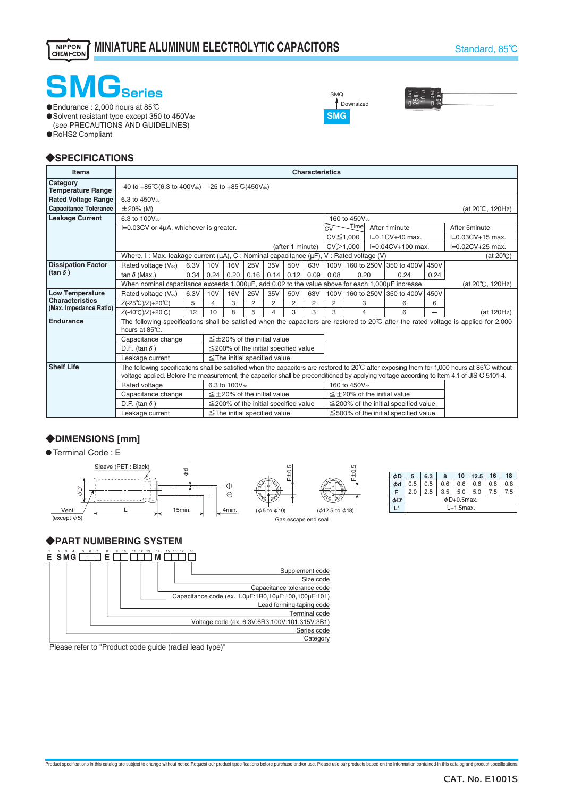# **SMGSeries**

・Endurance : 2,000 hours at 85℃

・Solvent resistant type except 350 to 450Vdc (see PRECAUTIONS AND GUIDELINES) ・RoHS2 Compliant

**SMG** <sup>1</sup> Downsized SMQ



### ◆**SPECIFICATIONS**

| <b>Items</b>                                                                                                                                                                  | <b>Characteristics</b>                                                                                                                    |                                            |                 |            |                                            |      |                                      |      |                                            |             |  |                                            |                    |                                                                                                                                              |
|-------------------------------------------------------------------------------------------------------------------------------------------------------------------------------|-------------------------------------------------------------------------------------------------------------------------------------------|--------------------------------------------|-----------------|------------|--------------------------------------------|------|--------------------------------------|------|--------------------------------------------|-------------|--|--------------------------------------------|--------------------|----------------------------------------------------------------------------------------------------------------------------------------------|
| Category<br><b>Temperature Range</b>                                                                                                                                          | $-40$ to $+85^{\circ}$ C(6.3 to $400V_{dc}$ ) $-25$ to $+85^{\circ}$ C(450V <sub>dc</sub> )                                               |                                            |                 |            |                                            |      |                                      |      |                                            |             |  |                                            |                    |                                                                                                                                              |
| <b>Rated Voltage Range</b>                                                                                                                                                    | 6.3 to 450Vdc                                                                                                                             |                                            |                 |            |                                            |      |                                      |      |                                            |             |  |                                            |                    |                                                                                                                                              |
| <b>Capacitance Tolerance</b>                                                                                                                                                  | $\pm 20\%$ (M)<br>(at 20°C, 120Hz)                                                                                                        |                                            |                 |            |                                            |      |                                      |      |                                            |             |  |                                            |                    |                                                                                                                                              |
| <b>Leakage Current</b>                                                                                                                                                        | 6.3 to 100V <sub>dc</sub>                                                                                                                 |                                            |                 |            |                                            |      |                                      |      | 160 to 450V <sub>dc</sub>                  |             |  |                                            |                    |                                                                                                                                              |
|                                                                                                                                                                               | I=0.03CV or 4µA, whichever is greater.                                                                                                    |                                            |                 |            |                                            |      |                                      |      | Timel<br>After 1 minute<br>CV              |             |  |                                            | After 5minute      |                                                                                                                                              |
|                                                                                                                                                                               |                                                                                                                                           |                                            |                 |            |                                            |      |                                      |      | $I=0.1CV+40$ max.<br>$CV \leq 1,000$       |             |  |                                            | $I=0.03CV+15$ max. |                                                                                                                                              |
|                                                                                                                                                                               | (after 1 minute)                                                                                                                          |                                            |                 |            |                                            |      |                                      |      | CV > 1.000<br>$I=0.04CV+100$ max.          |             |  |                                            | $I=0.02CV+25$ max. |                                                                                                                                              |
|                                                                                                                                                                               | Where, I: Max. leakage current ( $\mu$ A), C: Nominal capacitance ( $\mu$ F), V: Rated voltage (V)                                        |                                            |                 |            |                                            |      |                                      |      |                                            |             |  |                                            |                    | $(at 20^{\circ}C)$                                                                                                                           |
| <b>Dissipation Factor</b>                                                                                                                                                     | Rated voltage (Vdc)                                                                                                                       | 6.3V                                       | 10 <sub>V</sub> | <b>16V</b> | <b>25V</b>                                 | 35V  | 50V                                  | 63V  | 100V                                       |             |  | 160 to 250V 350 to 400V                    | 450V               |                                                                                                                                              |
| (tan $\delta$ )                                                                                                                                                               | tan $\delta$ (Max.)                                                                                                                       | 0.34                                       | 0.24            | 0.20       | 0.16                                       | 0.14 | 0.12                                 | 0.09 | 0.08                                       | 0.20        |  | 0.24                                       | 0.24               |                                                                                                                                              |
|                                                                                                                                                                               | When nominal capacitance exceeds 1,000µF, add 0.02 to the value above for each 1,000µF increase.                                          |                                            |                 |            |                                            |      |                                      |      |                                            |             |  |                                            |                    | (at 20°C, 120Hz)                                                                                                                             |
| <b>Low Temperature</b>                                                                                                                                                        | Rated voltage (Vdc)                                                                                                                       | 6.3V                                       | 10V             | <b>16V</b> | <b>25V</b>                                 | 35V  | 50V                                  | 63V  | 100V                                       | 160 to 250V |  | 350 to 400V                                | 450V               |                                                                                                                                              |
| <b>Characteristics</b><br>(Max. Impedance Ratio)                                                                                                                              | $Z(-25^{\circ}\text{C})/Z(+20^{\circ}\text{C})$                                                                                           | 5                                          | 4               | 3          | 2                                          | 2    | 2                                    | 2    | 2                                          | 3           |  | 6                                          | 6                  |                                                                                                                                              |
|                                                                                                                                                                               | $Z(-40^{\circ}C)/Z(+20^{\circ}C)$                                                                                                         | 12                                         | 10              | 8          | 5                                          | 4    | 3                                    | 3    | 3                                          | 4           |  | 6                                          |                    | (at 120Hz)                                                                                                                                   |
| Endurance<br>The following specifications shall be satisfied when the capacitors are restored to $20^{\circ}$ C after the rated voltage is applied for 2,000<br>hours at 85℃. |                                                                                                                                           |                                            |                 |            |                                            |      |                                      |      |                                            |             |  |                                            |                    |                                                                                                                                              |
|                                                                                                                                                                               | $\leq \pm 20\%$ of the initial value<br>Capacitance change                                                                                |                                            |                 |            |                                            |      |                                      |      |                                            |             |  |                                            |                    |                                                                                                                                              |
|                                                                                                                                                                               | D.F. (tan $\delta$ )                                                                                                                      | $\leq$ 200% of the initial specified value |                 |            |                                            |      |                                      |      |                                            |             |  |                                            |                    |                                                                                                                                              |
|                                                                                                                                                                               | Leakage current                                                                                                                           |                                            |                 |            | $\le$ The initial specified value          |      |                                      |      |                                            |             |  |                                            |                    |                                                                                                                                              |
| <b>Shelf Life</b>                                                                                                                                                             |                                                                                                                                           |                                            |                 |            |                                            |      |                                      |      |                                            |             |  |                                            |                    | The following specifications shall be satisfied when the capacitors are restored to 20°C after exposing them for 1,000 hours at 85°C without |
|                                                                                                                                                                               | voltage applied. Before the measurement, the capacitor shall be preconditioned by applying voltage according to Item 4.1 of JIS C 5101-4. |                                            |                 |            |                                            |      |                                      |      |                                            |             |  |                                            |                    |                                                                                                                                              |
|                                                                                                                                                                               | Rated voltage                                                                                                                             | 6.3 to 100V <sub>dc</sub>                  |                 |            |                                            |      | 160 to 450V <sub>dc</sub>            |      |                                            |             |  |                                            |                    |                                                                                                                                              |
|                                                                                                                                                                               | Capacitance change                                                                                                                        | $\leq \pm 20\%$ of the initial value       |                 |            |                                            |      | $\leq \pm 20\%$ of the initial value |      |                                            |             |  |                                            |                    |                                                                                                                                              |
|                                                                                                                                                                               | D.F. (tan $\delta$ )                                                                                                                      |                                            |                 |            | $\leq$ 200% of the initial specified value |      |                                      |      | $\leq$ 200% of the initial specified value |             |  |                                            |                    |                                                                                                                                              |
|                                                                                                                                                                               | Leakage current                                                                                                                           |                                            |                 |            | $\le$ The initial specified value          |      |                                      |      |                                            |             |  | $\leq$ 500% of the initial specified value |                    |                                                                                                                                              |

Product specifications in this catalog are subject to change without notice.Request our product specifications before purchase and/or use. Please use our products based on the information contained in this catalog and prod

### ◆**DIMENSIONS [mm]**





| φD | 5                | 6.3 | 8   | 10           | 12.5 | 16  | 18  |  |  |  |
|----|------------------|-----|-----|--------------|------|-----|-----|--|--|--|
| Фd | 0.5              | 0.5 | 0.6 | 0.6          | 0.6  | 0.8 | 0.8 |  |  |  |
|    | 2.0              | 2.5 | 3.5 | 5.0          | 5.0  | 7.5 | 7.5 |  |  |  |
| φD | $\phi$ D+0.5max. |     |     |              |      |     |     |  |  |  |
|    |                  |     |     | $L+1.5$ max. |      |     |     |  |  |  |

### ◆**PART NUMBERING SYSTEM**



Please refer to "Product code guide (radial lead type)"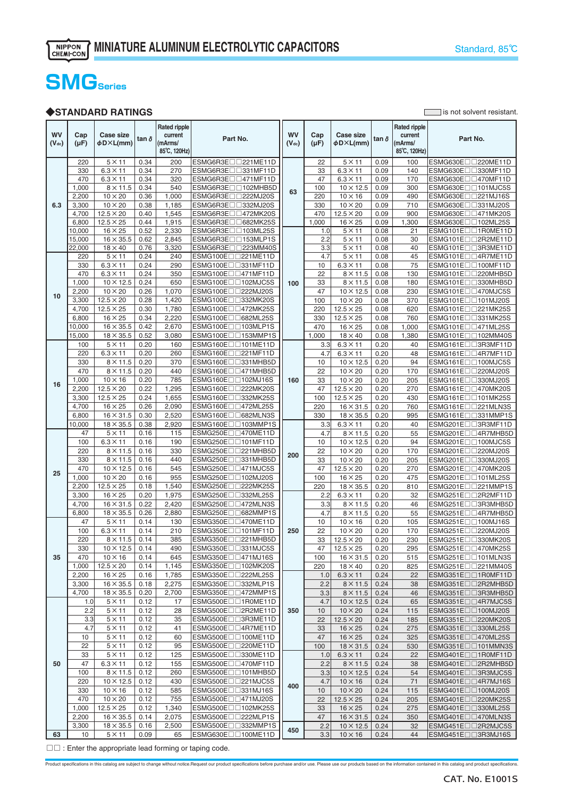### **SMGSeries**

#### ◆**STANDARD RATINGS** is not solvent resistant.

**WV (Vdc) Cap (µF) Case size** <sup>φ</sup>**D**×**L(mm) tan**<sup>δ</sup> **Rated ripple current (mArms/ 85**℃**, 120Hz) Part No. WV (Vdc) Cap (µF) Case size** <sup>φ</sup>**D**×**L(mm) tan**<sup>δ</sup> **Rated ripple current (mArms/ 85**℃**, 120Hz) Part No. 6.3** 220 | 5×11 0.34 | 200 ESMG6R3E□□221ME11D **63** 22 | 5×11 0.09 | 100 ESMG630E□□220ME11D 330 6.3×11 0.34 270 ESMG6R3E□□331MF11D 33 6.3×11 0.09 140 ESMG630E□□330MF11D 470 6.3×11 0.34 320 ESMG6R3E□□471MF11D 47 6.3×11 0.09 170 ESMG630E□□470MF11D 1,000 8×11.5 0.34 540 ESMG6R3E□□102MHB5D 63 100 10×12.5 0.09 300 ESMG630E□□101MJC5S<br>2.200 10×20 0.36 1.000 ESMG6R3E□□222MJ20S 63 220 10×16 0.09 490 ESMG630E□□221MJ16S  $2,200$   $10 \times 20$   $0.36$   $1,000$  ESMG6R3E□□222MJ20S 220  $10 \times 16$  0.09 490 ESMG630E□□221MJ16S<br>3.300 10×20 0.38 1,185 ESMG6R3E□□332MJ20S 330 10×20 0.09 710 ESMG630E□□331MJ20S  $\begin{array}{|c|c|c|c|c|c|c|c|}\n 10\times20 & 0.38 & 1,185 & \text{ESMG6R3}\text{E}\Box\text{ } \text{S}332\text{MJ20S} \\
12.5\times20 & 0.40 & 1.545 & \text{ESMG6R3}\text{E}\Box\text{ } \text{ } \text{ } 472 & 470 & 12.5\times20 & 0.09 & 900 & \text{ESMG630}\text{E}\Box\text{ } \text{ } \text{ } 471 & 0.000 & 0.000 & 0.000 \\
\end{array}$  $\frac{4,700}{6,800}$  12.5×20 0.40 1,545 ESMG6R3E□□472MK20S 470 12.5×20 0.09 900 16 x 25 0.09 6,800 12.5×25 0.44 1,915 ESMG6R3E□□682MK25S 1,000 16×25 0.09 1,300 ESMG630E□□102ML25S 10,000 | 16×25 | 0.52 | 2,330 ESMG6R3E□□103ML25S **100** 1.0 5×11 0.08 21 ESMG101E□□1R0ME11D 15,000 16×35.5 0.62 2,845 ESMG6R3E□□153MLP1S 2.2 5×11 0.08 30 ESMG101E□□2R2ME11D<br>22.000 18×40 0.76 3.320 ESMG6R3E□□223MM40S 3.3 5×11 0.08 40 ESMG101E□□3R3ME11D  $22,000$  18×40 0.76 3.320 ESMG6R3E□□223MM40S 3.3 5×11 0.08 **10** 220 | 5×11 | 0.24 | 240 | ESMG100E□□221ME11D | | | | 4.7 | 5×11 | 0.08 | | 45 | ESMG101E□□4R7ME11D 330 6.3×11 0.24 290 ESMG100E□□331MF11D 10 6.3×11 0.08 75 ESMG101E□□100MF11D 470 6.3×11 0.24 350 ESMG100E□□471MF11D  $ESMG100E□□471MF11D$ 1,000 10×12.5 0.24 650 ESMG100E□□102MJC5S 100 33 8×11.5 0.08 180 ESMG101E□□330MHB5D<br>2,200 10×20 0.26 1,070 ESMG100E□□222MJ20S 47 10×12.5 0.08 230 ESMG101E□□470MJC5S 2,200 | 10×20 | 0.26 | 1,070 | ESMG100E□□222MJ20S | | | | 47 | 10×12.5 | 0.08 | 230 | ESMG101E□□470MJC5S 3,300 12.5×20 0.28 1,420 ESMG100E□□332MK20S 100 10×20 0.08 370 ESMG101E□□101MJ20S 220 12.5×25 0.08 620 ESMG101E□□221MK25S  $6,800$   $16\times25$   $0.34$   $2,220$  ESMG100E□□682ML25S 330 12.5×25 0.08 760 ESMG101E□□331MK25S<br>10,000 16×35.5 0.42 2,670 ESMG100E□□103MLP1S 470 16×25 0.08 1,000 ESMG101E□□471ML25S  $\begin{array}{|l|c|c|c|c|c|c|}\n \hline \text{ESMG100E} & \text{103MLP1S} \\
\hline \text{ESMG100E} & \text{153MMP1S} \\
\hline \text{ESMG100E} & \text{153MMP1S} \\
\hline \end{array}$ 15,000 18×35.5 0.52 3,080 ESMG100E□□153MMP1S 1,000 18×40 0.08 1,380 **16** 100 5×11 0.20 160 ESMG160E□□101ME11D **160** 3.3 6.3×11 0.20 40 ESMG161E□□3R3MF11D 220 6.3×11 0.20 260 ESMG160E□□221MF11D 4.7 6.3×11 0.20 48 ESMG161E□□4R7MF11D 330 8×11.5 0.20 370 ESMG160E□□331MHB5D  $ESMG161E□□100MJC5S$ 470 8×11.5 0.20 440 ESMG160E□□471MHB5D 22 10×20 0.20 170 ESMG161E□□220MJ20S  $10\times20$  0.20 205 ESMG161E□□330MJ20S<br>12.5×20 0.20 270 ESMG161E□□470MK20S  $\begin{array}{|l|c|c|c|c|c|c|c|}\n \hline\n 2,200 & 12.5\times20 & 0.22 & 1,295 & \text{ESMG160E□} \text{1222MK20S} \\
\hline\n 3,300 & 12.5\times25 & 0.24 & 1,655 & \text{ESMG160E□} \text{1332MK25S} & & & & & 100 & 12.5\times25 & 0.20 & 430 \\
\hline\n\end{array}$ 3,300 12.5×25 0.24 1,655 ESMG160E□□332MK25S 100 12.5×25 0.20 430 ESMG161E□□101MK25S 4,700 16×25 0.26 2,090 ESMG160E□□472ML25S 220 16×31.5 0.20 760 ESMG161E□□221MLN3S 6,800 16×31.5 0.30 2,520 ESMG160E□□682MLN3S 330 18×35.5 0.20 10,000 | 18 × 35.5 | 0.38 | 2,920 ESMG160E□□103MMP1S **200**  $3.3$  6.3×11 0.20 40 ESMG201E□□3R3MF11D<br>4.7 8×11.5 0.20 55 ESMG201E□□4R7MHB5D **25** 47 5×11 0.16 115 ESMG250E□□470ME11D 4.7 8×11.5 0.20 55 ESMG201E□□4R7MHB5D<br>100 6.3×11 0.16 190 ESMG250E□□101MF11D 10 10×12.5 0.20 94 ESMG201E□□100MJC5S 10 10×12.5 0.20 94<br>100 10×12.5 0.20 94<br>22 10×20 0.20 170 220 8×11.5 0.16 330 ESMG250E□□221MHB5D 22 10×20 0.20 170 ESMG201E□□220MJ20S ESMG250E□□331MHB5D  $\begin{array}{|c|c|c|c|c|c|c|c|c|} \hline \text{200} & \text{33} & \text{10} \times \text{20} & \text{0.20} & \text{205} & \text{ESMG201E□} \text{330MJ20S} \hline \end{array}$ 470 10×12.5 0.16 545 ESMG250E□□471MJC5S 47 12.5×20 0.20 270 ESMG201E□□470MK20S 1,000 | 10×20 | 0.16 | 955 |ESMG250E□□102MJ20S | | 100 | 16×25 | 0.20 | 475 |ESMG201E□□101ML25S 2,200 12.5×25 0.18 1,540 ESMG250E□□222MK25S 220 18×35.5 0.20 810 ESMG201E□□221MMP1S ESMG250E□□332ML25S<br>ESMG250E□□472MLN3S **250** 2.2 6.3×11 0.20 32 ESMG251E□□2R2MF11D 4,700 16×31.5 0.22 2,420 ESMG250E□□472MLN3S 3.3 8×11.5 0.20 46 ESMG251E□□3R3MHB5D 4.7 8×11.5 0.20 55 ESMG251E□□4R7MHB5D **35**  $\begin{array}{|l|c|c|c|c|c|c|c|c|}\n \hline\n 47 & 5\times11 & 0.14 & 130 & \text{ESMG350E} \text{ } \Box \text{ } 1270 \text{ } \text{ } 161 \text{ } \text{ } 170 & 10 \times 16 & 0.20 & 105 & \text{ESMG351E} \text{ } \Box \text{ } 100 \text{ } \text{ } 103 \text{ } \text{ } 106 \text{ } \text{ } 107 \text{ } \text{ } 108 \text{ } \text{ } 109 \text{ } \text{ } 109 \text$  $100 \big| 6.3 \times 11 \big| 0.14 \big| 210$  ESMG350E□□101MF11D 250 22 10×20 0.20 170 220 8×11.5 0.14 385 ESMG350E□□221MHB5D 33 12.5×20 0.20 230 ESMG251E□□330MK20S<br>330 10×12.5 0.14 490 ESMG350E□□331MJC5S 47 12.5×25 0.20 295 ESMG251E□□470MK25S **ESMG350E□□331MJC5S | 47** 470 10×16 0.14 645 ESMG350E□□471MJ16S 100 16×31.5 0.20 515 ESMG251E□□101MLN3S  $18 \times 40$  0.20 825 ESMG251E□□221MM40S<br>6.3×11 0.24 22 ESMG351E□□1R0MF11D  $2,200$   $16 \times 25$  0.16 1,785 ESMG350E□□222ML25S<br>3,300 16×35.5 0.18 2,275 ESMG350E□□332MLP1S **350** 1.0 6.3×11 0.24 22 ESMG351E□□1R0MF11D 3,300 16×35.5 0.18 2,275 ESMG350E□□332MLP1S 2.2 8×11.5 0.24 38 ESMG351E□□2R2MHB5D  $\frac{4,700}{5 \times 11}$  18×35.5 0.20 2,700 ESMG350E□□472MMP1S 3.3 8×11.5 0.24 46 ESMG351E□□3R3MHB5D<br>1.0 5×11 0.12 17 ESMG500E□□1R0ME11D 4.7 10×12.5 0.24 65 ESMG351E□□4R7MJC5S **50** 1.0 5×11 0.12 17 ESMG500E□□1R0ME11D 4.7 10×12.5 0.24 65 ESMG351E□□4R7MJC5S  $\begin{array}{|l|c|c|c|c|c|c|c|}\n \hline\n 2.2 & 5 \times 11 & 0.12 & 28 & \text{ESMG} & \text{SSMG} & \text{S} & \text{SSMG} & \text{SSFG} & \text{SSFG} & \text{SSFG} & \text{SSFG} & \text{SSFG} & \text{SSFG} & \text{SSFG} & \text{SSFG} & \text{SSFG} & \text{SSFG} & \text{SSFG} & \text{SSFG} & \text{SSFG} & \text{SSFG} & \text{SSFG} & \text{SSFG} & \text{SSFG} & \text{SSFG} & \text{SSFG} & \text{SSFG} & \$ 3.3 5×11 0.12 35 ESMG500E□□3R3ME11D 22 12.5×20 0.24 185 ESMG351E□□220MK20S 4.7| 5×11 |0.12 | 41 |ESMG500E□□4R7ME11D || | 33 | 16×25 |0.24 | 275 |ESMG351E□□330ML25S 10 | 5×11 |0.12 | 60 |ESMG500E□□100ME11D || | 47 | 16×25 |0.24 | 325 |ESMG351E□□470ML25S 22 | 5×11 | 0.12 | 95 | ESMG500E□□220ME11D | 100 | 18×31.5 | 0.24 | 530 | ESMG351E□□101MMN3S  $\frac{33}{47}$   $\frac{5 \times 11}{6.3 \times 11}$  0.12 125 ESMG500E□□330ME11D **400**  $1.0 \quad 6.3 \times 11$  0.24 22 ESMG401E $\Box$ 1R0MF11D 47 6.3×11 0.12 155 ESMG500E□□470MF11D 2.2 8×11.5 0.24 38 ESMG401E□□2R2MHB5D 100 8×11.5 0.12 260 ESMG500E□□101MHB5D 3.3 10×12.5 0.24 54 ESMG401E□□3R3MJC5S<br>220 10×12.5 0.12 430 ESMG500E□□221MJC5S 4.7 10×16 0.24 71 ESMG401E□□4R7MJ16S  $\begin{array}{|c|c|c|c|c|c|c|}\n \hline \text{221MUC5S} & \text{400} & \text{4.7} & \text{10} \times \text{16} & \text{0.24} & \text{71} & \text{ESMG401E} & \text{47} \\
\hline \text{231M116S} & \text{400} & \text{10} & \text{10} \times \text{20} & \text{0.24} & \text{115} & \text{ESMG401E} & \text{100MJ20S} \\
\hline \end{array}$  $\begin{array}{|c|c|c|c|c|c|c|c|}\n \hline\n 330 & 10\times16 & 0.12 & 585 & \text{ESMG500E} \square \text{ } \square 331 \text{ MJ16S} \\
\hline\n 470 & 10\times20 & 0.12 & 755 & \text{ESMG500E} \square \square 471 \text{MJ20S} & 22 & 12.5\times25 & 0.24 & 205 \\
\hline\n\end{array}$ 10×20 0.12 755 ESMG500E□□471MJ20S 22 12.5×25 0.24 205 ESMG401E□□220MK25S 1,000 12.5×25 0.12 1,340 ESMG500E□□102MK25S 33 16×25 0.24 275 ESMG401E□□330ML25S<br>2,200 16×35.5 0.14 2,075 ESMG500E□□222MLP1S 47 16×31.5 0.24 350 ESMG401E□□470MLN3S 2,200 16×35.5 0.14 2,075 ESMG500E□□222MLP1S 47 16×31.5 0.24 350 3,300 <sup>18</sup>×35.5 0.16 2,500 ESMG500E□□332MMP1S **<sup>450</sup>** 2.2 <sup>10</sup>×12.5 0.24 <sup>32</sup> ESMG451E□□2R2MJC5S **63** 10 5×11 0.09 65 ESMG630E□□100ME11D

 $\square \square$ : Enter the appropriate lead forming or taping code.

Product specifications in this catalog are subject to change without notice.Request our product specifications before purchase and/or use. Please use our products based on the information contained in this catalog and prod